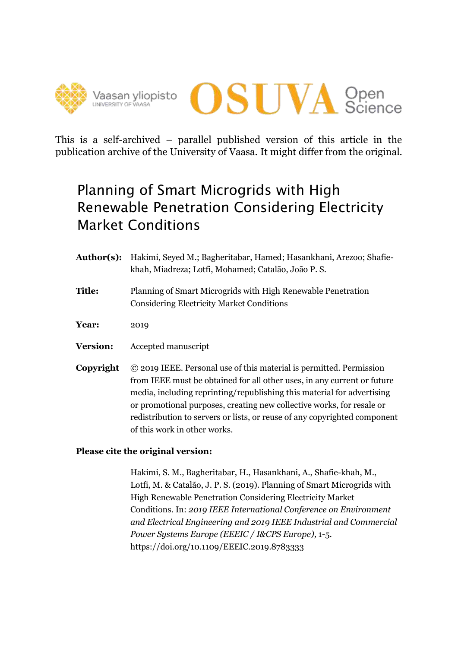



This is a self-archived – parallel published version of this article in the publication archive of the University of Vaasa. It might differ from the original.

## Planning of Smart Microgrids with High Renewable Penetration Considering Electricity Market Conditions

- **Author(s):** Hakimi, Seyed M.; Bagheritabar, Hamed; Hasankhani, Arezoo; Shafiekhah, Miadreza; Lotfi, Mohamed; Catalão, João P. S.
- **Title:** Planning of Smart Microgrids with High Renewable Penetration Considering Electricity Market Conditions
- **Year:** 2019
- **Version:** Accepted manuscript
- **Copyright** © 2019 IEEE. Personal use of this material is permitted. Permission from IEEE must be obtained for all other uses, in any current or future media, including reprinting/republishing this material for advertising or promotional purposes, creating new collective works, for resale or redistribution to servers or lists, or reuse of any copyrighted component of this work in other works.

### **Please cite the original version:**

Hakimi, S. M., Bagheritabar, H., Hasankhani, A., Shafie-khah, M., Lotfi, M. & Catalão, J. P. S. (2019). Planning of Smart Microgrids with High Renewable Penetration Considering Electricity Market Conditions. In: *2019 IEEE International Conference on Environment and Electrical Engineering and 2019 IEEE Industrial and Commercial Power Systems Europe (EEEIC / I&CPS Europe),* 1-5. https://doi.org/10.1109/EEEIC.2019.8783333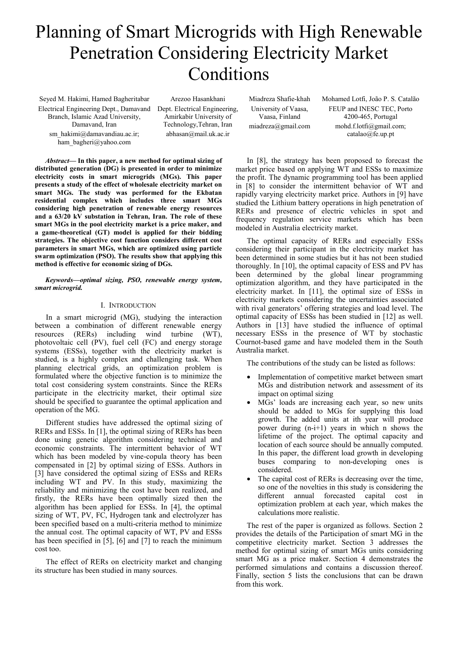# Planning of Smart Microgrids with High Renewable Penetration Considering Electricity Market Conditions

Seyed M. Hakimi, Hamed Bagheritabar Electrical Engineering Dept., Damavand Dept. Electrical Engineering, Branch, Islamic Azad University, Damavand, Iran sm\_hakimi@damavandiau.ac.ir; ham\_bagheri@yahoo.com

Arezoo Hasankhani Amirkabir University of Technology,Tehran, Iran abhasan@mail.uk.ac.ir

Miadreza Shafie-khah University of Vaasa, Vaasa, Finland miadreza@gmail.com Mohamed Lotfi, João P. S. Catalão FEUP and INESC TEC, Porto 4200-465, Portugal mohd.f.lotfi@gmail.com; catalao@fe.up.pt

*Abstract***— In this paper, a new method for optimal sizing of distributed generation (DG) is presented in order to minimize electricity costs in smart microgrids (MGs). This paper presents a study of the effect of wholesale electricity market on smart MGs. The study was performed for the Ekbatan residential complex which includes three smart MGs considering high penetration of renewable energy resources and a 63/20 kV substation in Tehran, Iran. The role of these smart MGs in the pool electricity market is a price maker, and a game-theoretical (GT) model is applied for their bidding strategies. The objective cost function considers different cost parameters in smart MGs, which are optimized using particle swarm optimization (PSO). The results show that applying this method is effective for economic sizing of DGs.**

*Keywords—optimal sizing, PSO, renewable energy system, smart microgrid.* 

#### I. INTRODUCTION

In a smart microgrid (MG), studying the interaction between a combination of different renewable energy resources (RERs) including wind turbine (WT), photovoltaic cell (PV), fuel cell (FC) and energy storage systems (ESSs), together with the electricity market is studied, is a highly complex and challenging task. When planning electrical grids, an optimization problem is formulated where the objective function is to minimize the total cost considering system constraints. Since the RERs participate in the electricity market, their optimal size should be specified to guarantee the optimal application and operation of the MG.

Different studies have addressed the optimal sizing of RERs and ESSs. In [1], the optimal sizing of RERs has been done using genetic algorithm considering technical and economic constraints. The intermittent behavior of WT which has been modeled by vine-copula theory has been compensated in [2] by optimal sizing of ESSs. Authors in [3] have considered the optimal sizing of ESSs and RERs including WT and PV. In this study, maximizing the reliability and minimizing the cost have been realized, and firstly, the RERs have been optimally sized then the algorithm has been applied for ESSs. In [4], the optimal sizing of WT, PV, FC, Hydrogen tank and electrolyzer has been specified based on a multi-criteria method to minimize the annual cost. The optimal capacity of WT, PV and ESSs has been specified in [5], [6] and [7] to reach the minimum cost too.

The effect of RERs on electricity market and changing its structure has been studied in many sources.

In [8], the strategy has been proposed to forecast the market price based on applying WT and ESSs to maximize the profit. The dynamic programming tool has been applied in [8] to consider the intermittent behavior of WT and rapidly varying electricity market price. Authors in [9] have studied the Lithium battery operations in high penetration of RERs and presence of electric vehicles in spot and frequency regulation service markets which has been modeled in Australia electricity market.

The optimal capacity of RERs and especially ESSs considering their participant in the electricity market has been determined in some studies but it has not been studied thoroughly. In [10], the optimal capacity of ESS and PV has been determined by the global linear programming optimization algorithm, and they have participated in the electricity market. In [11], the optimal size of ESSs in electricity markets considering the uncertainties associated with rival generators' offering strategies and load level. The optimal capacity of ESSs has been studied in [12] as well. Authors in [13] have studied the influence of optimal necessary ESSs in the presence of WT by stochastic Cournot-based game and have modeled them in the South Australia market.

The contributions of the study can be listed as follows:

- Implementation of competitive market between smart MGs and distribution network and assessment of its impact on optimal sizing
- MGs' loads are increasing each year, so new units should be added to MGs for supplying this load growth. The added units at ith year will produce power during (n-i+1) years in which n shows the lifetime of the project. The optimal capacity and location of each source should be annually computed. In this paper, the different load growth in developing buses comparing to non-developing ones is considered.
- The capital cost of RERs is decreasing over the time, so one of the novelties in this study is considering the different annual forecasted capital cost in optimization problem at each year, which makes the calculations more realistic.

The rest of the paper is organized as follows. Section 2 provides the details of the Participation of smart MG in the competitive electricity market. Section 3 addresses the method for optimal sizing of smart MGs units considering smart MG as a price maker. Section 4 demonstrates the performed simulations and contains a discussion thereof. Finally, section 5 lists the conclusions that can be drawn from this work.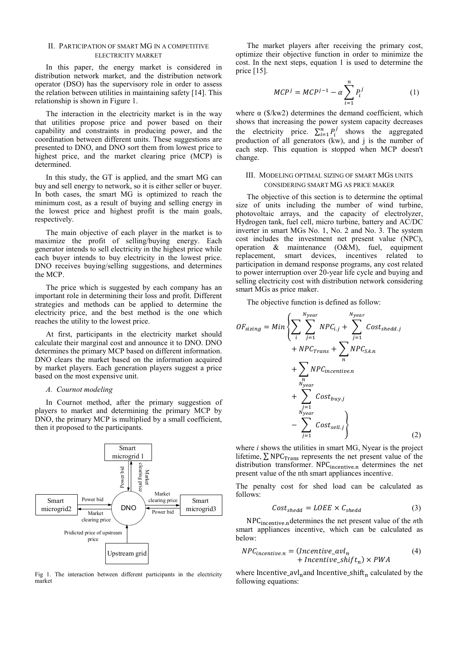#### II. PARTICIPATION OF SMART MG IN A COMPETITIVE ELECTRICITY MARKET

In this paper, the energy market is considered in distribution network market, and the distribution network operator (DSO) has the supervisory role in order to assess the relation between utilities in maintaining safety [14]. This relationship is shown in Figure 1.

The interaction in the electricity market is in the way that utilities propose price and power based on their capability and constraints in producing power, and the coordination between different units. These suggestions are presented to DNO, and DNO sort them from lowest price to highest price, and the market clearing price (MCP) is determined.

In this study, the GT is applied, and the smart MG can buy and sell energy to network, so it is either seller or buyer. In both cases, the smart MG is optimized to reach the minimum cost, as a result of buying and selling energy in the lowest price and highest profit is the main goals, respectively.

The main objective of each player in the market is to maximize the profit of selling/buying energy. Each generator intends to sell electricity in the highest price while each buyer intends to buy electricity in the lowest price. DNO receives buying/selling suggestions, and determines the MCP.

The price which is suggested by each company has an important role in determining their loss and profit. Different strategies and methods can be applied to determine the electricity price, and the best method is the one which reaches the utility to the lowest price.

At first, participants in the electricity market should calculate their marginal cost and announce it to DNO. DNO determines the primary MCP based on different information. DNO clears the market based on the information acquired by market players. Each generation players suggest a price based on the most expensive unit.

#### *A. Cournot modeling*

In Cournot method, after the primary suggestion of players to market and determining the primary MCP by DNO, the primary MCP is multiplied by a small coefficient, then it proposed to the participants.



Fig 1. The interaction between different participants in the electricity market

The market players after receiving the primary cost, optimize their objective function in order to minimize the cost. In the next steps, equation 1 is used to determine the price [15].

$$
MCPj = MCPj-1 - \alpha \sum_{i=1}^{n} P_ij
$$
 (1)

where  $\alpha$  (\$/kw2) determines the demand coefficient, which shows that increasing the power system capacity decreases the electricity price.  $\sum_{i=1}^{n} P_i^j$  shows the aggregated production of all generators (kw), and j is the number of each step. This equation is stopped when MCP doesn't change.

#### III. MODELING OPTIMAL SIZING OF SMART MGS UNITS CONSIDERING SMART MG AS PRICE MAKER

The objective of this section is to determine the optimal size of units including the number of wind turbine, photovoltaic arrays, and the capacity of electrolyzer, Hydrogen tank, fuel cell, micro turbine, battery and AC/DC inverter in smart MGs No. 1, No. 2 and No. 3. The system cost includes the investment net present value (NPC), operation & maintenance (O&M), fuel, equipment replacement, smart devices, incentives related to participation in demand response programs, any cost related to power interruption over 20-year life cycle and buying and selling electricity cost with distribution network considering smart MGs as price maker.

The objective function is defined as follow:

$$
OF_{sizing} = Min \left\{ \sum_{i} \sum_{j=1}^{N_{year}} NPC_{i,j} + \sum_{j=1}^{N_{year}} Cost_{shedd,j} + NPC_{Trans} + \sum_{n} NPC_{incentive.n} + \sum_{N_{year}} Cost_{buy,j} + \sum_{N_{year}} Cost_{buy,j} - \sum_{j=1}^{N_{year}} Cost_{sell,j} \right\}
$$
(2)

where *i* shows the utilities in smart MG, Nyear is the project lifetime,  $\Sigma$  NPC<sub>Trans</sub> represents the net present value of the distribution transformer. NPC<sub>incentive.n</sub> determines the net present value of the nth smart appliances incentive.

The penalty cost for shed load can be calculated as follows:

$$
Cost_{shed} = LOEE \times C_{shed} \tag{3}
$$

NPC<sub>incentive.n</sub>determines the net present value of the *n*th smart appliances incentive, which can be calculated as below:

$$
NPC_{incentive.n} = (Incentive\_avl_n + Incentive\_shift_n) \times PWA
$$
\n(4)

where Incentive\_avl<sub>n</sub>and Incentive\_shift<sub>n</sub> calculated by the following equations: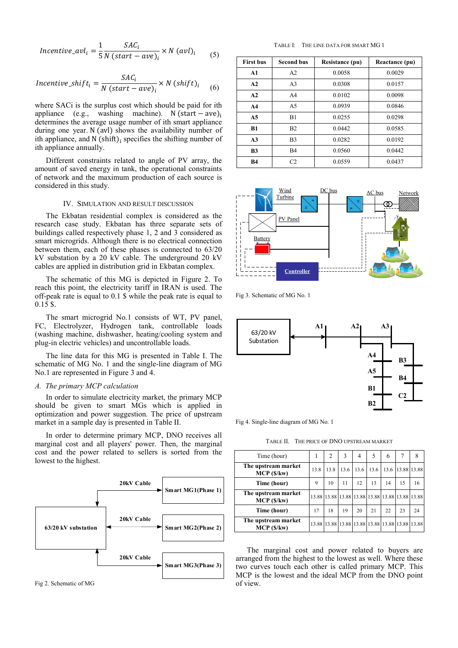*Incentive*<sub>α</sub>
$$
u_l = \frac{1}{5} \frac{SAC_i}{N (start - ave)_i} \times N (avl)_i
$$
 (5)

$$
Incentive\_shift_i = \frac{SAC_i}{N\left(start - ave\right)_i} \times N\left(shift\right)_i \tag{6}
$$

where SACi is the surplus cost which should be paid for ith appliance (e.g., washing machine). N (start – ave)<sub>i</sub> determines the average usage number of ith smart appliance during one year. N (avl) shows the availability number of ith appliance, and  $N$  (shift) $\frac{1}{2}$  specifies the shifting number of ith appliance annually.

Different constraints related to angle of PV array, the amount of saved energy in tank, the operational constraints of network and the maximum production of each source is considered in this study.

#### IV. SIMULATION AND RESULT DISCUSSION

The Ekbatan residential complex is considered as the research case study. Ekbatan has three separate sets of buildings called respectively phase 1, 2 and 3 considered as smart microgrids. Although there is no electrical connection between them, each of these phases is connected to 63/20 kV substation by a 20 kV cable. The underground 20 kV cables are applied in distribution grid in Ekbatan complex.

The schematic of this MG is depicted in Figure 2. To reach this point, the electricity tariff in IRAN is used. The off-peak rate is equal to 0.1 \$ while the peak rate is equal to 0.15 \$.

The smart microgrid No.1 consists of WT, PV panel, FC, Electrolyzer, Hydrogen tank, controllable loads (washing machine, dishwasher, heating/cooling system and plug-in electric vehicles) and uncontrollable loads.

The line data for this MG is presented in Table I. The schematic of MG No. 1 and the single-line diagram of MG No.1 are represented in Figure 3 and 4.

#### *A. The primary MCP calculation*

In order to simulate electricity market, the primary MCP should be given to smart MGs which is applied in optimization and power suggestion. The price of upstream market in a sample day is presented in Table II.

In order to determine primary MCP, DNO receives all marginal cost and all players' power. Then, the marginal cost and the power related to sellers is sorted from the lowest to the highest.



Fig 2. Schematic of MG

TABLE I: THE LINE DATA FOR SMART MG 1

| <b>First bus</b> | <b>Second bus</b> | <b>Resistance (pu)</b> | Reactance (pu) |
|------------------|-------------------|------------------------|----------------|
| A1               | A <sub>2</sub>    | 0.0058                 | 0.0029         |
| A2               | A <sub>3</sub>    | 0.0308                 | 0.0157         |
| A2               | A <sub>4</sub>    | 0.0102                 | 0.0098         |
| A <sub>4</sub>   | A5                | 0.0939                 | 0.0846         |
| A <sub>5</sub>   | B1                | 0.0255                 | 0.0298         |
| B1               | B <sub>2</sub>    | 0.0442                 | 0.0585         |
| A <sub>3</sub>   | B <sub>3</sub>    | 0.0282                 | 0.0192         |
| B <sub>3</sub>   | B <sub>4</sub>    | 0.0560                 | 0.0442         |
| <b>B4</b>        | C2                | 0.0559                 | 0.0437         |



Fig 3. Schematic of MG No. 1



Fig 4. Single-line diagram of MG No. 1

TABLE II. THE PRICE OF DNO UPSTREAM MARKET

| Time (hour)                      |      | 2    | 3    | 4    | 5    | 6    | 7                                               | 8  |
|----------------------------------|------|------|------|------|------|------|-------------------------------------------------|----|
| The upstream market<br>MCP(S/kw) | 13.8 | 13.8 | 13.6 | 13.6 | 13.6 | 13.6 | 13.88 13.88                                     |    |
| Time (hour)                      | 9    | 10   | 11   | 12   | 13   | 14   | 15                                              | 16 |
| The upstream market<br>MCP(S/kw) |      |      |      |      |      |      | 13.88 13.88 13.88 13.88 13.88 13.88 13.88 13.88 |    |
| Time (hour)                      | 17   | 18   | 19   | 20   | 21   | 22   | 23                                              | 24 |
| The upstream market<br>MCP(S/kw) |      |      |      |      |      |      | 13.88 13.88 13.88 13.88 13.88 13.88 13.88 13.88 |    |

The marginal cost and power related to buyers are arranged from the highest to the lowest as well. Where these two curves touch each other is called primary MCP. This MCP is the lowest and the ideal MCP from the DNO point of view.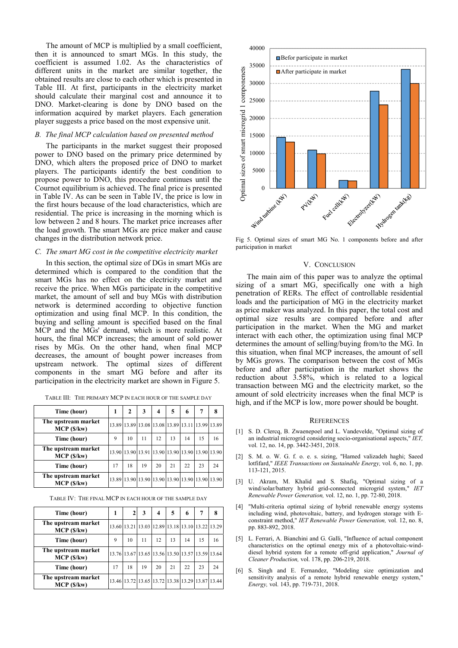The amount of MCP is multiplied by a small coefficient, then it is announced to smart MGs. In this study, the coefficient is assumed 1.02. As the characteristics of different units in the market are similar together, the obtained results are close to each other which is presented in Table III. At first, participants in the electricity market should calculate their marginal cost and announce it to DNO. Market-clearing is done by DNO based on the information acquired by market players. Each generation player suggests a price based on the most expensive unit.

#### *B. The final MCP calculation based on presented method*

The participants in the market suggest their proposed power to DNO based on the primary price determined by DNO, which alters the proposed price of DNO to market players. The participants identify the best condition to propose power to DNO, this procedure continues until the Cournot equilibrium is achieved. The final price is presented in Table IV. As can be seen in Table IV, the price is low in the first hours because of the load characteristics, which are residential. The price is increasing in the morning which is low between 2 and 8 hours. The market price increases after the load growth. The smart MGs are price maker and cause changes in the distribution network price.

#### *C. The smart MG cost in the competitive electricity market*

In this section, the optimal size of DGs in smart MGs are determined which is compared to the condition that the smart MGs has no effect on the electricity market and receive the price. When MGs participate in the competitive market, the amount of sell and buy MGs with distribution network is determined according to objective function optimization and using final MCP. In this condition, the buying and selling amount is specified based on the final MCP and the MGs' demand, which is more realistic. At hours, the final MCP increases; the amount of sold power rises by MGs. On the other hand, when final MCP decreases, the amount of bought power increases from upstream network. The optimal sizes of different components in the smart MG before and after its participation in the electricity market are shown in Figure 5.

| Time (hour)                      |    | 2  | 3  |    | 5  | 6  |    |                                                 |
|----------------------------------|----|----|----|----|----|----|----|-------------------------------------------------|
| The upstream market<br>MCP(S/kw) |    |    |    |    |    |    |    | 13.89 13.89 13.08 13.08 13.89 13.11 13.99 13.89 |
| Time (hour)                      | 9  | 10 | 11 | 12 | 13 | 14 | 15 | 16                                              |
| The upstream market<br>MCP(S/kw) |    |    |    |    |    |    |    | 13.90 13.90 13.91 13.90 13.90 13.90 13.90 13.90 |
| Time (hour)                      | 17 | 18 | 19 | 20 | 21 | 22 | 23 | 24                                              |
| The upstream market<br>MCP(S/kw) |    |    |    |    |    |    |    | 13.89 13.90 13.90 13.90 13.90 13.90 13.90 13.90 |

TABLE III: THE PRIMARY MCP IN EACH HOUR OF THE SAMPLE DAY

| TABLE IV: THE FINAL MCP IN EACH HOUR OF THE SAMPLE DAY |  |
|--------------------------------------------------------|--|
|--------------------------------------------------------|--|

| Time (hour)                      | 1  |    | 3  | 4  | 5  | 6  | 7                                               |    |
|----------------------------------|----|----|----|----|----|----|-------------------------------------------------|----|
| The upstream market<br>MCP(S/kw) |    |    |    |    |    |    | 13.60 13.21 13.03 12.89 13.18 13.10 13.22 13.29 |    |
| Time (hour)                      | 9  | 10 | 11 | 12 | 13 | 14 | 15                                              | 16 |
| The upstream market<br>MCP(S/kw) |    |    |    |    |    |    | 13.76 13.67 13.65 13.56 13.50 13.57 13.59 13.64 |    |
| Time (hour)                      | 17 | 18 | 19 | 20 | 21 | 22 | 23                                              | 24 |
| The upstream market<br>MCP(S/kw) |    |    |    |    |    |    | 13.46 13.72 13.65 13.72 13.38 13.29 13.87 13.44 |    |



Fig 5. Optimal sizes of smart MG No. 1 components before and after participation in market

#### V. CONCLUSION

The main aim of this paper was to analyze the optimal sizing of a smart MG, specifically one with a high penetration of RERs. The effect of controllable residential loads and the participation of MG in the electricity market as price maker was analyzed. In this paper, the total cost and optimal size results are compared before and after participation in the market. When the MG and market interact with each other, the optimization using final MCP determines the amount of selling/buying from/to the MG. In this situation, when final MCP increases, the amount of sell by MGs grows. The comparison between the cost of MGs before and after participation in the market shows the reduction about 3.58%, which is related to a logical transaction between MG and the electricity market, so the amount of sold electricity increases when the final MCP is high, and if the MCP is low, more power should be bought.

#### **REFERENCES**

- [1] S. D. Clercq, B. Zwaenepoel and L. Vandevelde, "Optimal sizing of an industrial microgrid considering socio-organisational aspects," *IET,*  vol. 12, no. 14, pp. 3442-3451, 2018.
- [2] S. M. o. W. G. f. o. e. s. sizing, "Hamed valizadeh haghi; Saeed lotfifard," *IEEE Transactions on Sustainable Energy,* vol. 6, no. 1, pp. 113-121, 2015.
- [3] U. Akram, M. Khalid and S. Shafiq, "Optimal sizing of a wind/solar/battery hybrid grid-connected microgrid system," *IET Renewable Power Generation,* vol. 12, no. 1, pp. 72-80, 2018.
- [4] "Multi-criteria optimal sizing of hybrid renewable energy systems including wind, photovoltaic, battery, and hydrogen storage with Econstraint method," *IET Renewable Power Generation,* vol. 12, no. 8, pp. 883-892, 2018.
- [5] L. Ferrari, A. Bianchini and G. Galli, "Influence of actual component characteristics on the optimal energy mix of a photovoltaic-winddiesel hybrid system for a remote off-grid application," *Journal of Cleaner Production,* vol. 178, pp. 206-219, 2018.
- [6] S. Singh and E. Fernandez, "Modeling size optimization and sensitivity analysis of a remote hybrid renewable energy system," *Energy,* vol. 143, pp. 719-731, 2018.